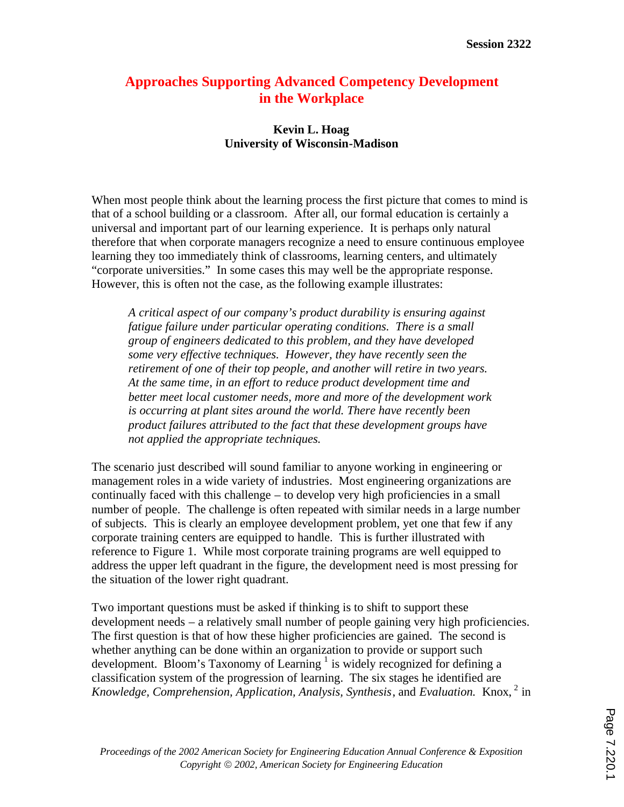## **Approaches Supporting Advanced Competency Development in the Workplace**

## **Kevin L. Hoag University of Wisconsin-Madison**

When most people think about the learning process the first picture that comes to mind is that of a school building or a classroom. After all, our formal education is certainly a universal and important part of our learning experience. It is perhaps only natural therefore that when corporate managers recognize a need to ensure continuous employee learning they too immediately think of classrooms, learning centers, and ultimately "corporate universities." In some cases this may well be the appropriate response. However, this is often not the case, as the following example illustrates:

*A critical aspect of our company's product durability is ensuring against fatigue failure under particular operating conditions. There is a small group of engineers dedicated to this problem, and they have developed some very effective techniques. However, they have recently seen the retirement of one of their top people, and another will retire in two years. At the same time, in an effort to reduce product development time and better meet local customer needs, more and more of the development work is occurring at plant sites around the world. There have recently been product failures attributed to the fact that these development groups have not applied the appropriate techniques.*

The scenario just described will sound familiar to anyone working in engineering or management roles in a wide variety of industries. Most engineering organizations are continually faced with this challenge – to develop very high proficiencies in a small number of people. The challenge is often repeated with similar needs in a large number of subjects. This is clearly an employee development problem, yet one that few if any corporate training centers are equipped to handle. This is further illustrated with reference to Figure 1. While most corporate training programs are well equipped to address the upper left quadrant in the figure, the development need is most pressing for the situation of the lower right quadrant.

Two important questions must be asked if thinking is to shift to support these development needs – a relatively small number of people gaining very high proficiencies. The first question is that of how these higher proficiencies are gained. The second is whether anything can be done within an organization to provide or support such development. Bloom's Taxonomy of Learning  $\frac{1}{1}$  is widely recognized for defining a classification system of the progression of learning. The six stages he identified are *Knowledge, Comprehension, Application, Analysis, Synthesis*, and *Evaluation.* Knox, 2 in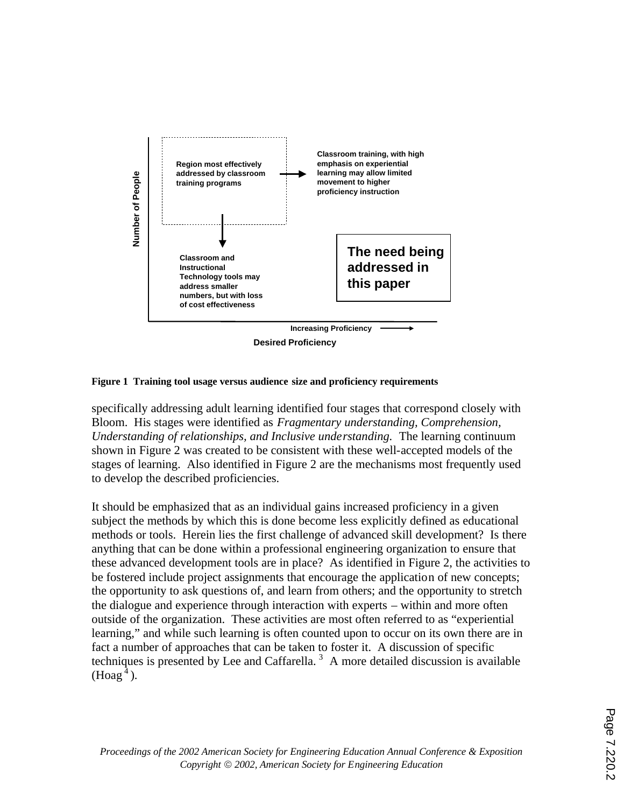

**Figure 1 Training tool usage versus audience size and proficiency requirements**

specifically addressing adult learning identified four stages that correspond closely with Bloom. His stages were identified as *Fragmentary understanding, Comprehension, Understanding of relationships, and Inclusive understanding.* The learning continuum shown in Figure 2 was created to be consistent with these well-accepted models of the stages of learning. Also identified in Figure 2 are the mechanisms most frequently used to develop the described proficiencies.

It should be emphasized that as an individual gains increased proficiency in a given subject the methods by which this is done become less explicitly defined as educational methods or tools. Herein lies the first challenge of advanced skill development? Is there anything that can be done within a professional engineering organization to ensure that these advanced development tools are in place? As identified in Figure 2, the activities to be fostered include project assignments that encourage the application of new concepts; the opportunity to ask questions of, and learn from others; and the opportunity to stretch the dialogue and experience through interaction with experts – within and more often outside of the organization. These activities are most often referred to as "experiential learning," and while such learning is often counted upon to occur on its own there are in fact a number of approaches that can be taken to foster it. A discussion of specific techniques is presented by Lee and Caffarella.<sup>3</sup> A more detailed discussion is available  $(Hoag<sup>4</sup>)$ .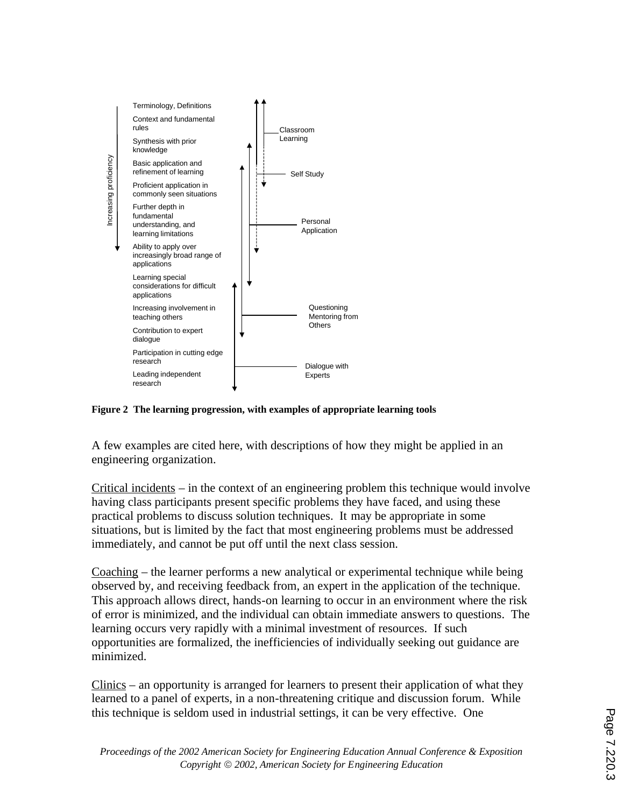

## **Figure 2 The learning progression, with examples of appropriate learning tools**

A few examples are cited here, with descriptions of how they might be applied in an engineering organization.

Critical incidents – in the context of an engineering problem this technique would involve having class participants present specific problems they have faced, and using these practical problems to discuss solution techniques. It may be appropriate in some situations, but is limited by the fact that most engineering problems must be addressed immediately, and cannot be put off until the next class session.

Coaching – the learner performs a new analytical or experimental technique while being observed by, and receiving feedback from, an expert in the application of the technique. This approach allows direct, hands-on learning to occur in an environment where the risk of error is minimized, and the individual can obtain immediate answers to questions. The learning occurs very rapidly with a minimal investment of resources. If such opportunities are formalized, the inefficiencies of individually seeking out guidance are minimized.

Clinics – an opportunity is arranged for learners to present their application of what they learned to a panel of experts, in a non-threatening critique and discussion forum. While this technique is seldom used in industrial settings, it can be very effective. One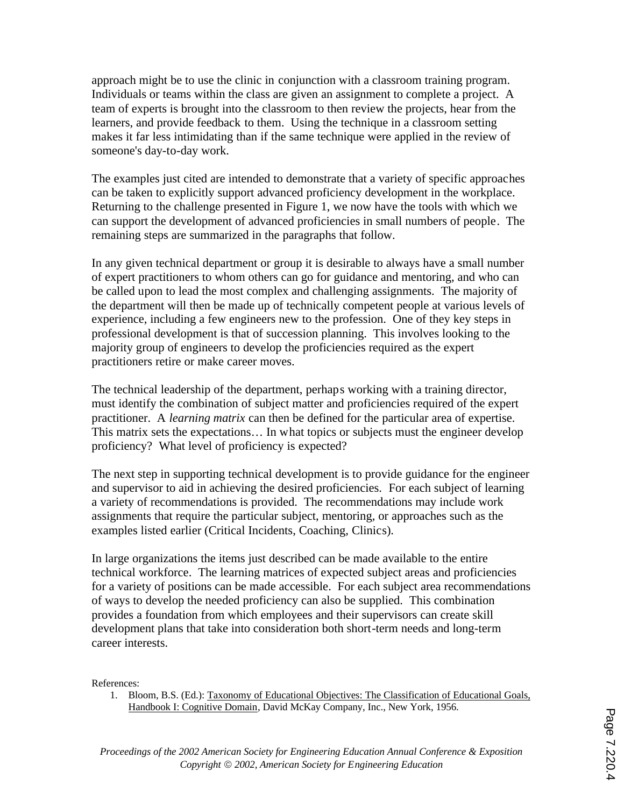approach might be to use the clinic in conjunction with a classroom training program. Individuals or teams within the class are given an assignment to complete a project. A team of experts is brought into the classroom to then review the projects, hear from the learners, and provide feedback to them. Using the technique in a classroom setting makes it far less intimidating than if the same technique were applied in the review of someone's day-to-day work.

The examples just cited are intended to demonstrate that a variety of specific approaches can be taken to explicitly support advanced proficiency development in the workplace. Returning to the challenge presented in Figure 1, we now have the tools with which we can support the development of advanced proficiencies in small numbers of people. The remaining steps are summarized in the paragraphs that follow.

In any given technical department or group it is desirable to always have a small number of expert practitioners to whom others can go for guidance and mentoring, and who can be called upon to lead the most complex and challenging assignments. The majority of the department will then be made up of technically competent people at various levels of experience, including a few engineers new to the profession. One of they key steps in professional development is that of succession planning. This involves looking to the majority group of engineers to develop the proficiencies required as the expert practitioners retire or make career moves.

The technical leadership of the department, perhaps working with a training director, must identify the combination of subject matter and proficiencies required of the expert practitioner. A *learning matrix* can then be defined for the particular area of expertise. This matrix sets the expectations… In what topics or subjects must the engineer develop proficiency? What level of proficiency is expected?

The next step in supporting technical development is to provide guidance for the engineer and supervisor to aid in achieving the desired proficiencies. For each subject of learning a variety of recommendations is provided. The recommendations may include work assignments that require the particular subject, mentoring, or approaches such as the examples listed earlier (Critical Incidents, Coaching, Clinics).

In large organizations the items just described can be made available to the entire technical workforce. The learning matrices of expected subject areas and proficiencies for a variety of positions can be made accessible. For each subject area recommendations of ways to develop the needed proficiency can also be supplied. This combination provides a foundation from which employees and their supervisors can create skill development plans that take into consideration both short-term needs and long-term career interests.

References:

1. Bloom, B.S. (Ed.): Taxonomy of Educational Objectives: The Classification of Educational Goals, Handbook I: Cognitive Domain, David McKay Company, Inc., New York, 1956.